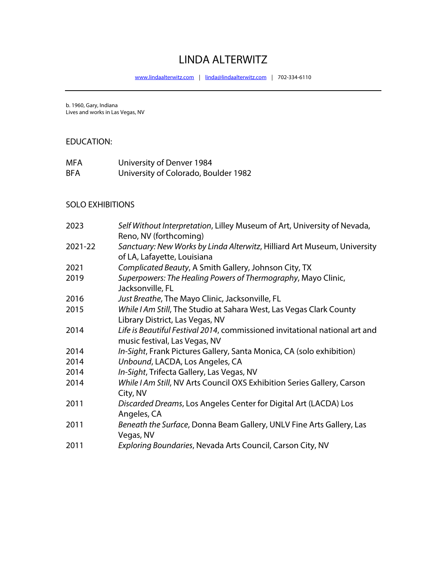# LINDA ALTERWITZ

www.lindaalterwitz.com | linda@lindaalterwitz.com | 702-334-6110

b. 1960, Gary, Indiana Lives and works in Las Vegas, NV

#### EDUCATION:

| MFA        | University of Denver 1984            |
|------------|--------------------------------------|
| <b>BFA</b> | University of Colorado, Boulder 1982 |

#### SOLO EXHIBITIONS

| 2023    | Self Without Interpretation, Lilley Museum of Art, University of Nevada,<br>Reno, NV (forthcoming)           |
|---------|--------------------------------------------------------------------------------------------------------------|
| 2021-22 | Sanctuary: New Works by Linda Alterwitz, Hilliard Art Museum, University<br>of LA, Lafayette, Louisiana      |
| 2021    | Complicated Beauty, A Smith Gallery, Johnson City, TX                                                        |
| 2019    | Superpowers: The Healing Powers of Thermography, Mayo Clinic,<br>Jacksonville, FL                            |
| 2016    | Just Breathe, The Mayo Clinic, Jacksonville, FL                                                              |
| 2015    | While I Am Still, The Studio at Sahara West, Las Vegas Clark County<br>Library District, Las Vegas, NV       |
| 2014    | Life is Beautiful Festival 2014, commissioned invitational national art and<br>music festival, Las Vegas, NV |
| 2014    | In-Sight, Frank Pictures Gallery, Santa Monica, CA (solo exhibition)                                         |
| 2014    | Unbound, LACDA, Los Angeles, CA                                                                              |
| 2014    | In-Sight, Trifecta Gallery, Las Vegas, NV                                                                    |
| 2014    | While I Am Still, NV Arts Council OXS Exhibition Series Gallery, Carson<br>City, NV                          |
| 2011    | Discarded Dreams, Los Angeles Center for Digital Art (LACDA) Los<br>Angeles, CA                              |
| 2011    | Beneath the Surface, Donna Beam Gallery, UNLV Fine Arts Gallery, Las<br>Vegas, NV                            |
| 2011    | Exploring Boundaries, Nevada Arts Council, Carson City, NV                                                   |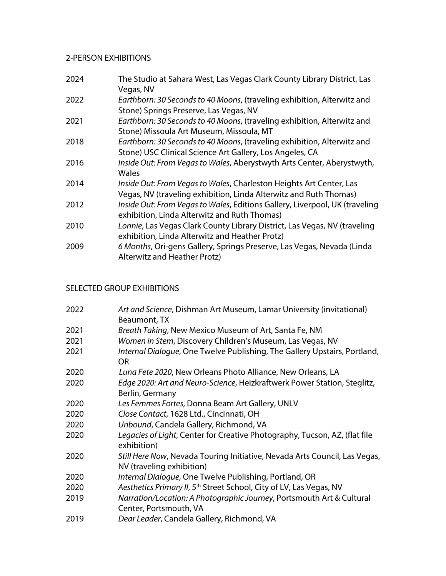# 2-PERSON EXHIBITIONS

| 2024 | The Studio at Sahara West, Las Vegas Clark County Library District, Las<br>Vegas, NV                                        |
|------|-----------------------------------------------------------------------------------------------------------------------------|
| 2022 | Earthborn: 30 Seconds to 40 Moons, (traveling exhibition, Alterwitz and<br>Stone) Springs Preserve, Las Vegas, NV           |
| 2021 | Earthborn: 30 Seconds to 40 Moons, (traveling exhibition, Alterwitz and                                                     |
|      | Stone) Missoula Art Museum, Missoula, MT                                                                                    |
| 2018 | Earthborn: 30 Seconds to 40 Moons, (traveling exhibition, Alterwitz and                                                     |
|      | Stone) USC Clinical Science Art Gallery, Los Angeles, CA                                                                    |
| 2016 | Inside Out: From Vegas to Wales, Aberystwyth Arts Center, Aberystwyth,                                                      |
|      | <b>Wales</b>                                                                                                                |
| 2014 | Inside Out: From Vegas to Wales, Charleston Heights Art Center, Las                                                         |
|      | Vegas, NV (traveling exhibition, Linda Alterwitz and Ruth Thomas)                                                           |
| 2012 | Inside Out: From Vegas to Wales, Editions Gallery, Liverpool, UK (traveling<br>exhibition, Linda Alterwitz and Ruth Thomas) |
| 2010 | Lonnie, Las Vegas Clark County Library District, Las Vegas, NV (traveling                                                   |
|      | exhibition, Linda Alterwitz and Heather Protz)                                                                              |
| 2009 | 6 Months, Ori-gens Gallery, Springs Preserve, Las Vegas, Nevada (Linda<br>Alterwitz and Heather Protz)                      |

# SELECTED GROUP EXHIBITIONS

| 2022 | Art and Science, Dishman Art Museum, Lamar University (invitational)<br>Beaumont, TX                    |
|------|---------------------------------------------------------------------------------------------------------|
| 2021 | Breath Taking, New Mexico Museum of Art, Santa Fe, NM                                                   |
| 2021 | Women in Stem, Discovery Children's Museum, Las Vegas, NV                                               |
| 2021 | Internal Dialogue, One Twelve Publishing, The Gallery Upstairs, Portland,<br><b>OR</b>                  |
| 2020 | Luna Fete 2020, New Orleans Photo Alliance, New Orleans, LA                                             |
| 2020 | Edge 2020: Art and Neuro-Science, Heizkraftwerk Power Station, Steglitz,<br>Berlin, Germany             |
| 2020 | Les Femmes Fortes, Donna Beam Art Gallery, UNLV                                                         |
| 2020 | Close Contact, 1628 Ltd., Cincinnati, OH                                                                |
| 2020 | Unbound, Candela Gallery, Richmond, VA                                                                  |
| 2020 | Legacies of Light, Center for Creative Photography, Tucson, AZ, (flat file<br>exhibition)               |
| 2020 | Still Here Now, Nevada Touring Initiative, Nevada Arts Council, Las Vegas,<br>NV (traveling exhibition) |
| 2020 | Internal Dialogue, One Twelve Publishing, Portland, OR                                                  |
| 2020 | Aesthetics Primary II, 5 <sup>th</sup> Street School, City of LV, Las Vegas, NV                         |
| 2019 | Narration/Location: A Photographic Journey, Portsmouth Art & Cultural                                   |
|      | Center, Portsmouth, VA                                                                                  |
| 2019 | Dear Leader, Candela Gallery, Richmond, VA                                                              |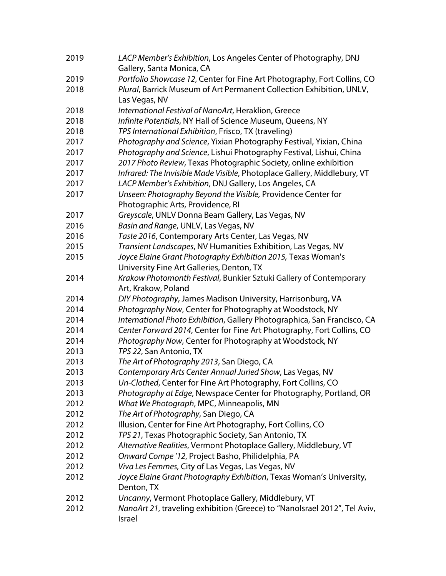| 2019 | LACP Member's Exhibition, Los Angeles Center of Photography, DNJ                                      |
|------|-------------------------------------------------------------------------------------------------------|
| 2019 | Gallery, Santa Monica, CA<br>Portfolio Showcase 12, Center for Fine Art Photography, Fort Collins, CO |
| 2018 | Plural, Barrick Museum of Art Permanent Collection Exhibition, UNLV,                                  |
|      | Las Vegas, NV                                                                                         |
| 2018 | International Festival of NanoArt, Heraklion, Greece                                                  |
| 2018 | Infinite Potentials, NY Hall of Science Museum, Queens, NY                                            |
| 2018 | TPS International Exhibition, Frisco, TX (traveling)                                                  |
| 2017 | Photography and Science, Yixian Photography Festival, Yixian, China                                   |
| 2017 | Photography and Science, Lishui Photography Festival, Lishui, China                                   |
| 2017 | 2017 Photo Review, Texas Photographic Society, online exhibition                                      |
| 2017 | Infrared: The Invisible Made Visible, Photoplace Gallery, Middlebury, VT                              |
| 2017 | LACP Member's Exhibition, DNJ Gallery, Los Angeles, CA                                                |
| 2017 | Unseen: Photography Beyond the Visible, Providence Center for                                         |
|      | Photographic Arts, Providence, RI                                                                     |
| 2017 | Greyscale, UNLV Donna Beam Gallery, Las Vegas, NV                                                     |
| 2016 | Basin and Range, UNLV, Las Vegas, NV                                                                  |
| 2016 | Taste 2016, Contemporary Arts Center, Las Vegas, NV                                                   |
| 2015 | Transient Landscapes, NV Humanities Exhibition, Las Vegas, NV                                         |
| 2015 | Joyce Elaine Grant Photography Exhibition 2015, Texas Woman's                                         |
|      | University Fine Art Galleries, Denton, TX                                                             |
| 2014 | Krakow Photomonth Festival, Bunkier Sztuki Gallery of Contemporary                                    |
|      | Art, Krakow, Poland                                                                                   |
| 2014 | DIY Photography, James Madison University, Harrisonburg, VA                                           |
| 2014 | Photography Now, Center for Photography at Woodstock, NY                                              |
| 2014 | International Photo Exhibition, Gallery Photographica, San Francisco, CA                              |
| 2014 | Center Forward 2014, Center for Fine Art Photography, Fort Collins, CO                                |
| 2014 | Photography Now, Center for Photography at Woodstock, NY                                              |
| 2013 | TPS 22, San Antonio, TX                                                                               |
| 2013 | The Art of Photography 2013, San Diego, CA                                                            |
| 2013 | Contemporary Arts Center Annual Juried Show, Las Vegas, NV                                            |
| 2013 | Un-Clothed, Center for Fine Art Photography, Fort Collins, CO                                         |
| 2013 | Photography at Edge, Newspace Center for Photography, Portland, OR                                    |
| 2012 | What We Photograph, MPC, Minneapolis, MN                                                              |
| 2012 | The Art of Photography, San Diego, CA                                                                 |
| 2012 | Illusion, Center for Fine Art Photography, Fort Collins, CO                                           |
| 2012 | TPS 21, Texas Photographic Society, San Antonio, TX                                                   |
| 2012 | Alternative Realities, Vermont Photoplace Gallery, Middlebury, VT                                     |
| 2012 | Onward Compe '12, Project Basho, Philidelphia, PA                                                     |
| 2012 | Viva Les Femmes, City of Las Vegas, Las Vegas, NV                                                     |
| 2012 | Joyce Elaine Grant Photography Exhibition, Texas Woman's University,<br>Denton, TX                    |
| 2012 | Uncanny, Vermont Photoplace Gallery, Middlebury, VT                                                   |
| 2012 | NanoArt 21, traveling exhibition (Greece) to "NanoIsrael 2012", Tel Aviv,                             |
|      | Israel                                                                                                |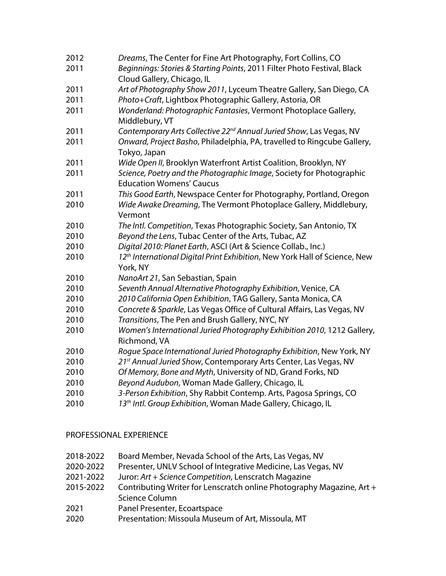| 2012 | Dreams, The Center for Fine Art Photography, Fort Collins, CO                                           |
|------|---------------------------------------------------------------------------------------------------------|
| 2011 | Beginnings: Stories & Starting Points, 2011 Filter Photo Festival, Black<br>Cloud Gallery, Chicago, IL  |
| 2011 | Art of Photography Show 2011, Lyceum Theatre Gallery, San Diego, CA                                     |
| 2011 | Photo+Craft, Lightbox Photographic Gallery, Astoria, OR                                                 |
| 2011 | Wonderland: Photographic Fantasies, Vermont Photoplace Gallery,<br>Middlebury, VT                       |
| 2011 | Contemporary Arts Collective 22 <sup>nd</sup> Annual Juried Show, Las Vegas, NV                         |
| 2011 | Onward, Project Basho, Philadelphia, PA, travelled to Ringcube Gallery,<br>Tokyo, Japan                 |
| 2011 | Wide Open II, Brooklyn Waterfront Artist Coalition, Brooklyn, NY                                        |
| 2011 | Science, Poetry and the Photographic Image, Society for Photographic<br><b>Education Womens' Caucus</b> |
| 2011 | This Good Earth, Newspace Center for Photography, Portland, Oregon                                      |
| 2010 | Wide Awake Dreaming, The Vermont Photoplace Gallery, Middlebury,<br>Vermont                             |
| 2010 | The Intl. Competition, Texas Photographic Society, San Antonio, TX                                      |
| 2010 | Beyond the Lens, Tubac Center of the Arts, Tubac, AZ                                                    |
| 2010 | Digital 2010: Planet Earth, ASCI (Art & Science Collab., Inc.)                                          |
| 2010 | 12 <sup>th</sup> International Digital Print Exhibition, New York Hall of Science, New<br>York, NY      |
| 2010 | NanoArt 21, San Sebastian, Spain                                                                        |
| 2010 | Seventh Annual Alternative Photography Exhibition, Venice, CA                                           |
| 2010 | 2010 California Open Exhibition, TAG Gallery, Santa Monica, CA                                          |
| 2010 | Concrete & Sparkle, Las Vegas Office of Cultural Affairs, Las Vegas, NV                                 |
| 2010 | Transitions, The Pen and Brush Gallery, NYC, NY                                                         |
| 2010 | Women's International Juried Photography Exhibition 2010, 1212 Gallery,<br>Richmond, VA                 |
| 2010 | Rogue Space International Juried Photography Exhibition, New York, NY                                   |
| 2010 | 21st Annual Juried Show, Contemporary Arts Center, Las Vegas, NV                                        |
| 2010 | Of Memory, Bone and Myth, University of ND, Grand Forks, ND                                             |
| 2010 | Beyond Audubon, Woman Made Gallery, Chicago, IL                                                         |
| 2010 | 3-Person Exhibition, Shy Rabbit Contemp. Arts, Pagosa Springs, CO                                       |
| 2010 | 13th Intl. Group Exhibition, Woman Made Gallery, Chicago, IL                                            |

#### PROFESSIONAL EXPERIENCE

- 2018-2022 Board Member, Nevada School of the Arts, Las Vegas, NV
- 2020-2022 Presenter, UNLV School of Integrative Medicine, Las Vegas, NV
- 2021-2022 Juror: *Art + Science Competition*, Lenscratch Magazine
- 2015-2022 Contributing Writer for Lenscratch online Photography Magazine, Art + Science Column
- Panel Presenter, Ecoartspace
- Presentation: Missoula Museum of Art, Missoula, MT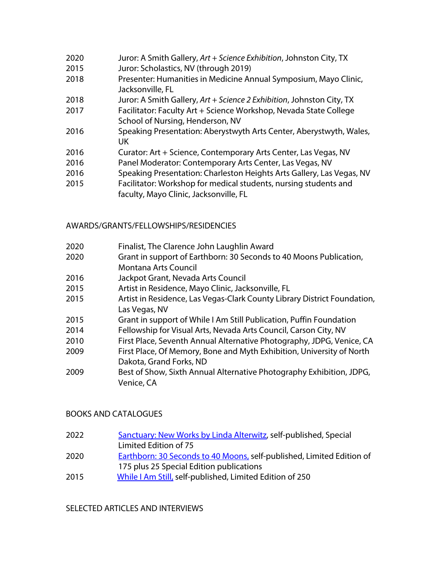- 2020 Juror: A Smith Gallery, *Art + Science Exhibition*, Johnston City, TX
- 2015 Juror: Scholastics, NV (through 2019)
- 2018 Presenter: Humanities in Medicine Annual Symposium, Mayo Clinic, Jacksonville, FL
- 2018 Juror: A Smith Gallery, *Art + Science 2 Exhibition*, Johnston City, TX
- 2017 Facilitator: Faculty Art + Science Workshop, Nevada State College School of Nursing, Henderson, NV
- 2016 Speaking Presentation: Aberystwyth Arts Center, Aberystwyth, Wales, UK
- 2016 Curator: Art + Science, Contemporary Arts Center, Las Vegas, NV
- 2016 Panel Moderator: Contemporary Arts Center, Las Vegas, NV
- 2016 Speaking Presentation: Charleston Heights Arts Gallery, Las Vegas, NV
- 2015 Facilitator: Workshop for medical students, nursing students and faculty, Mayo Clinic, Jacksonville, FL

# AWARDS/GRANTS/FELLOWSHIPS/RESIDENCIES

- 2020 Finalist, The Clarence John Laughlin Award
- 2020 Grant in support of Earthborn: 30 Seconds to 40 Moons Publication, Montana Arts Council
- 2016 Jackpot Grant, Nevada Arts Council
- 2015 Artist in Residence, Mayo Clinic, Jacksonville, FL
- 2015 Artist in Residence, Las Vegas-Clark County Library District Foundation, Las Vegas, NV
- 2015 Grant in support of While I Am Still Publication, Puffin Foundation
- 2014 Fellowship for Visual Arts, Nevada Arts Council, Carson City, NV
- 2010 First Place, Seventh Annual Alternative Photography, JDPG, Venice, CA
- 2009 First Place, Of Memory, Bone and Myth Exhibition, University of North Dakota, Grand Forks, ND
- 2009 Best of Show, Sixth Annual Alternative Photography Exhibition, JDPG, Venice, CA

# BOOKS AND CATALOGUES

- 2022 Sanctuary: New Works by Linda Alterwitz, self-published, Special Limited Edition of 75
- 2020 Earthborn: 30 Seconds to 40 Moons, self-published, Limited Edition of 175 plus 25 Special Edition publications
- 2015 While I Am Still, self-published, Limited Edition of 250

# SELECTED ARTICLES AND INTERVIEWS